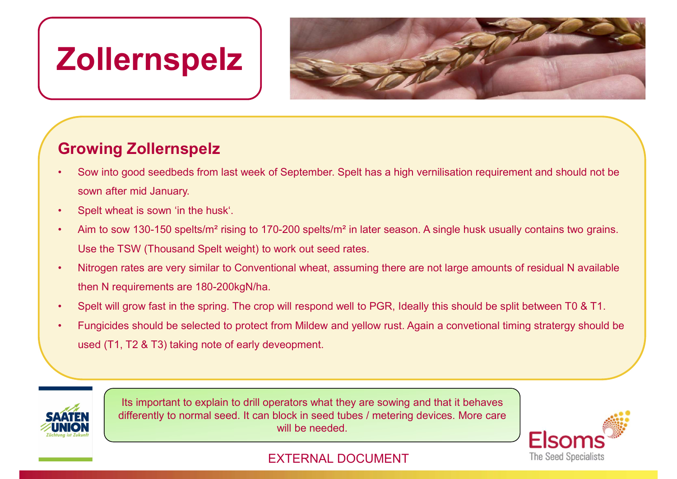# Zollernspelz



### Growing Zollernspelz

- sown after mid January. From the Hall Control of Spelt West September.<br>
• Sow into good seedbeds from last week of September. Sown after mid January.<br>
• Spelt wheat is sown 'in the husk'.<br>
• Aim to sow 130-150 spelts/m<sup>2</sup> rising to 170-200 spelts From the Trip and seedbeds from last week of September. Spelt has a high vernilisation requirement and should not be sown after mid January.<br>
Spelt wheat is sown in the husk:<br>
• Spelt wheat is sown "in the husk".<br>
• Spelt • Spelt will grow fast in the spring. The crop will respond well to PGR, Ideally between the spatial of the spatial of the spatial divided with the spatial spatial spatial of the spatial speed will almuary.<br>
• Spelt whea • Sow into good seedbeds from last week of September. Spelt has a high vernilisation requirement and should not be sown after mid January.<br>• Spelt wheat is sown 'in the husk'.<br>• Aim to sow 130-150 spelts/m<sup>2</sup> rising to 17
- 
- Use the TSW (Thousand Spelt weight) to work out seed rates.
- then N requirements are 180-200kgN/ha.
- 
- used (T1, T2 & T3) taking note of early deveopment.



Its important to explain to drill operators what they are sowing and that it behaves differently to normal seed. It can block in seed tubes / metering devices. More care will be needed.



#### **EXTERNAL DOCUMENT** The Seed Specialists